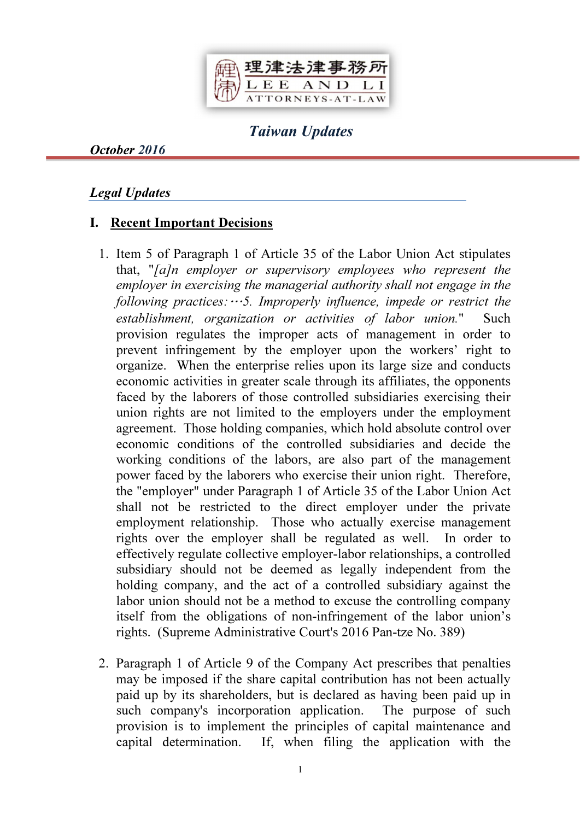

# Taiwan Updates

October 2016

#### Legal Updates

#### I. Recent Important Decisions

- 1. Item 5 of Paragraph 1 of Article 35 of the Labor Union Act stipulates that, "*[a]n employer or supervisory employees who represent the employer in exercising the managerial authority shall not engage in the following practices:*…*5. Improperly influence, impede or restrict the establishment, organization or activities of labor union.*" Such provision regulates the improper acts of management in order to prevent infringement by the employer upon the workers' right to organize. When the enterprise relies upon its large size and conducts economic activities in greater scale through its affiliates, the opponents faced by the laborers of those controlled subsidiaries exercising their union rights are not limited to the employers under the employment agreement. Those holding companies, which hold absolute control over economic conditions of the controlled subsidiaries and decide the working conditions of the labors, are also part of the management power faced by the laborers who exercise their union right. Therefore, the "employer" under Paragraph 1 of Article 35 of the Labor Union Act shall not be restricted to the direct employer under the private employment relationship. Those who actually exercise management rights over the employer shall be regulated as well. In order to effectively regulate collective employer-labor relationships, a controlled subsidiary should not be deemed as legally independent from the holding company, and the act of a controlled subsidiary against the labor union should not be a method to excuse the controlling company itself from the obligations of non-infringement of the labor union's rights. (Supreme Administrative Court's 2016 Pan-tze No. 389)
- 2. Paragraph 1 of Article 9 of the Company Act prescribes that penalties may be imposed if the share capital contribution has not been actually paid up by its shareholders, but is declared as having been paid up in such company's incorporation application. The purpose of such provision is to implement the principles of capital maintenance and capital determination. If, when filing the application with the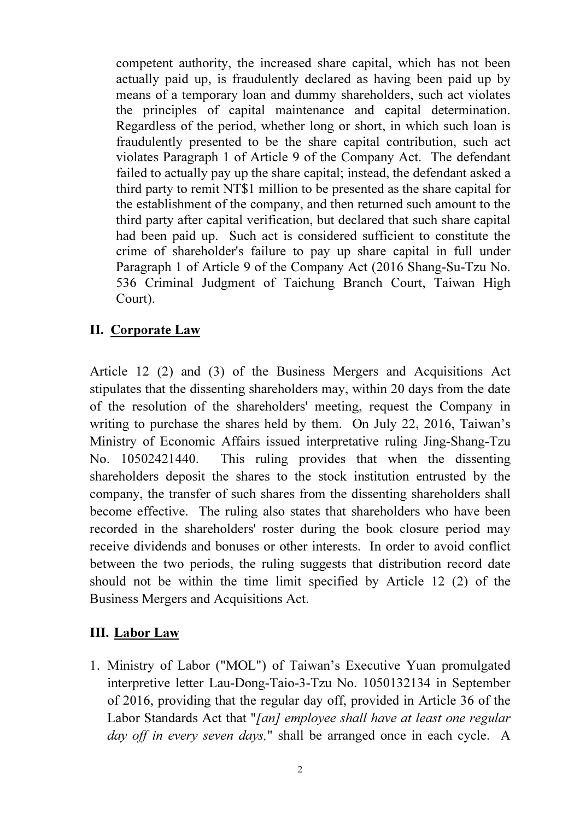competent authority, the increased share capital, which has not been actually paid up, is fraudulently declared as having been paid up by means of a temporary loan and dummy shareholders, such act violates the principles of capital maintenance and capital determination. Regardless of the period, whether long or short, in which such loan is fraudulently presented to be the share capital contribution, such act violates Paragraph 1 of Article 9 of the Company Act. The defendant failed to actually pay up the share capital; instead, the defendant asked a third party to remit NT\$1 million to be presented as the share capital for the establishment of the company, and then returned such amount to the third party after capital verification, but declared that such share capital had been paid up. Such act is considered sufficient to constitute the crime of shareholder's failure to pay up share capital in full under Paragraph 1 of Article 9 of the Company Act (2016 Shang-Su-Tzu No. 536 Criminal Judgment of Taichung Branch Court, Taiwan High Court).

## II. Corporate Law

Article 12 (2) and (3) of the Business Mergers and Acquisitions Act stipulates that the dissenting shareholders may, within 20 days from the date of the resolution of the shareholders' meeting, request the Company in writing to purchase the shares held by them. On July 22, 2016, Taiwan's Ministry of Economic Affairs issued interpretative ruling Jing-Shang-Tzu No. 10502421440. This ruling provides that when the dissenting shareholders deposit the shares to the stock institution entrusted by the company, the transfer of such shares from the dissenting shareholders shall become effective. The ruling also states that shareholders who have been recorded in the shareholders' roster during the book closure period may receive dividends and bonuses or other interests. In order to avoid conflict between the two periods, the ruling suggests that distribution record date should not be within the time limit specified by Article 12 (2) of the Business Mergers and Acquisitions Act.

# III. Labor Law

1. Ministry of Labor ("MOL") of Taiwan's Executive Yuan promulgated interpretive letter Lau-Dong-Taio-3-Tzu No. 1050132134 in September of 2016, providing that the regular day off, provided in Article 36 of the Labor Standards Act that "*[an] employee shall have at least one regular day off in every seven days,*" shall be arranged once in each cycle. A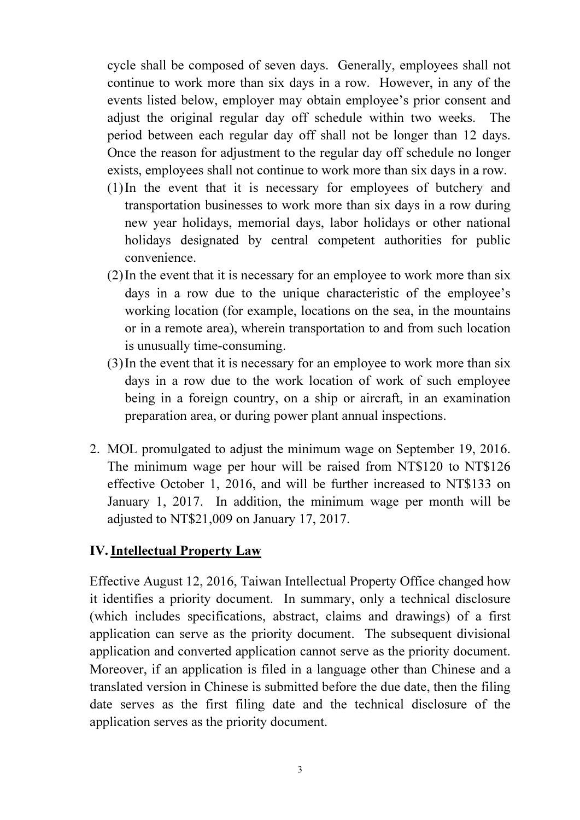cycle shall be composed of seven days. Generally, employees shall not continue to work more than six days in a row. However, in any of the events listed below, employer may obtain employee's prior consent and adjust the original regular day off schedule within two weeks. The period between each regular day off shall not be longer than 12 days. Once the reason for adjustment to the regular day off schedule no longer exists, employees shall not continue to work more than six days in a row.

- (1)In the event that it is necessary for employees of butchery and transportation businesses to work more than six days in a row during new year holidays, memorial days, labor holidays or other national holidays designated by central competent authorities for public convenience.
- (2)In the event that it is necessary for an employee to work more than six days in a row due to the unique characteristic of the employee's working location (for example, locations on the sea, in the mountains or in a remote area), wherein transportation to and from such location is unusually time-consuming.
- (3)In the event that it is necessary for an employee to work more than six days in a row due to the work location of work of such employee being in a foreign country, on a ship or aircraft, in an examination preparation area, or during power plant annual inspections.
- 2. MOL promulgated to adjust the minimum wage on September 19, 2016. The minimum wage per hour will be raised from NT\$120 to NT\$126 effective October 1, 2016, and will be further increased to NT\$133 on January 1, 2017. In addition, the minimum wage per month will be adjusted to NT\$21,009 on January 17, 2017.

## IV. Intellectual Property Law

Effective August 12, 2016, Taiwan Intellectual Property Office changed how it identifies a priority document. In summary, only a technical disclosure (which includes specifications, abstract, claims and drawings) of a first application can serve as the priority document. The subsequent divisional application and converted application cannot serve as the priority document. Moreover, if an application is filed in a language other than Chinese and a translated version in Chinese is submitted before the due date, then the filing date serves as the first filing date and the technical disclosure of the application serves as the priority document.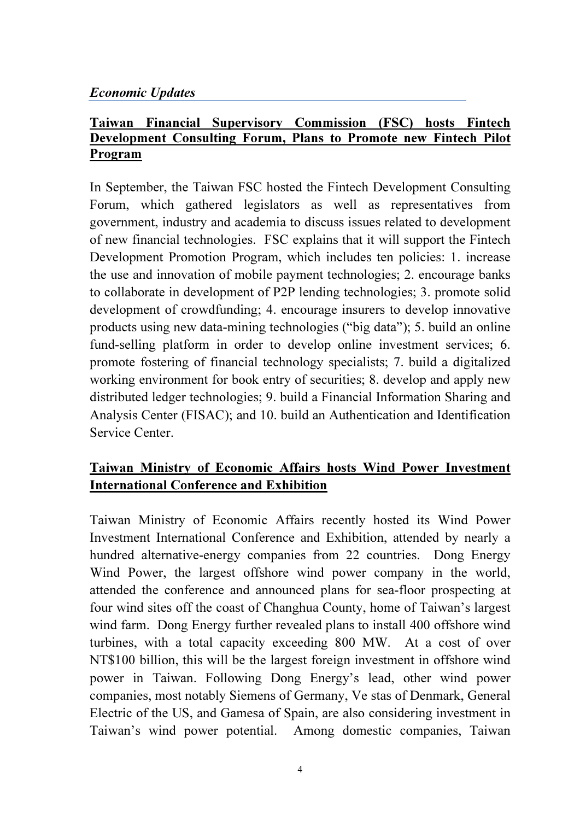## Economic Updates

# Taiwan Financial Supervisory Commission (FSC) hosts Fintech Development Consulting Forum, Plans to Promote new Fintech Pilot Program

In September, the Taiwan FSC hosted the Fintech Development Consulting Forum, which gathered legislators as well as representatives from government, industry and academia to discuss issues related to development of new financial technologies. FSC explains that it will support the Fintech Development Promotion Program, which includes ten policies: 1. increase the use and innovation of mobile payment technologies; 2. encourage banks to collaborate in development of P2P lending technologies; 3. promote solid development of crowdfunding; 4. encourage insurers to develop innovative products using new data-mining technologies ("big data"); 5. build an online fund-selling platform in order to develop online investment services; 6. promote fostering of financial technology specialists; 7. build a digitalized working environment for book entry of securities; 8. develop and apply new distributed ledger technologies; 9. build a Financial Information Sharing and Analysis Center (FISAC); and 10. build an Authentication and Identification Service Center.

# Taiwan Ministry of Economic Affairs hosts Wind Power Investment International Conference and Exhibition

Taiwan Ministry of Economic Affairs recently hosted its Wind Power Investment International Conference and Exhibition, attended by nearly a hundred alternative-energy companies from 22 countries. Dong Energy Wind Power, the largest offshore wind power company in the world, attended the conference and announced plans for sea-floor prospecting at four wind sites off the coast of Changhua County, home of Taiwan's largest wind farm. Dong Energy further revealed plans to install 400 offshore wind turbines, with a total capacity exceeding 800 MW. At a cost of over NT\$100 billion, this will be the largest foreign investment in offshore wind power in Taiwan. Following Dong Energy's lead, other wind power companies, most notably Siemens of Germany, Ve stas of Denmark, General Electric of the US, and Gamesa of Spain, are also considering investment in Taiwan's wind power potential. Among domestic companies, Taiwan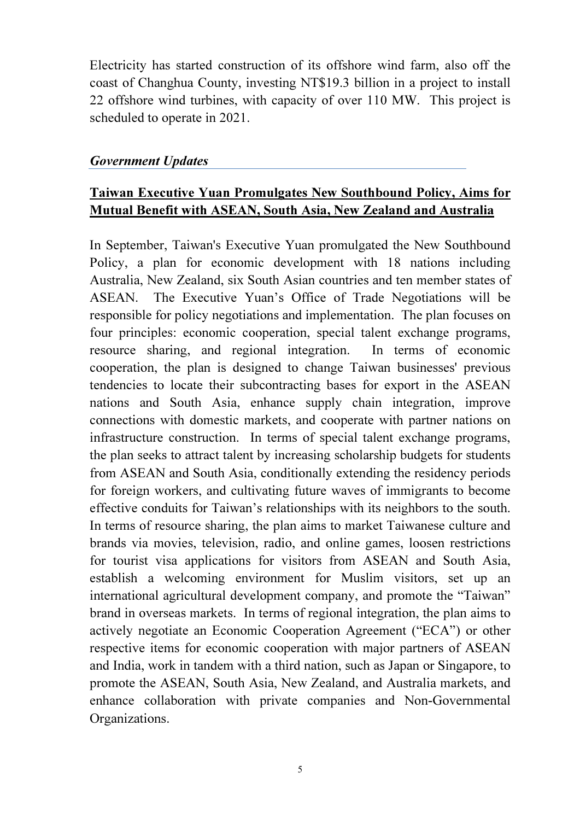Electricity has started construction of its offshore wind farm, also off the coast of Changhua County, investing NT\$19.3 billion in a project to install 22 offshore wind turbines, with capacity of over 110 MW. This project is scheduled to operate in 2021.

### Government Updates

# Taiwan Executive Yuan Promulgates New Southbound Policy, Aims for Mutual Benefit with ASEAN, South Asia, New Zealand and Australia

In September, Taiwan's Executive Yuan promulgated the New Southbound Policy, a plan for economic development with 18 nations including Australia, New Zealand, six South Asian countries and ten member states of ASEAN. The Executive Yuan's Office of Trade Negotiations will be responsible for policy negotiations and implementation. The plan focuses on four principles: economic cooperation, special talent exchange programs, resource sharing, and regional integration. In terms of economic cooperation, the plan is designed to change Taiwan businesses' previous tendencies to locate their subcontracting bases for export in the ASEAN nations and South Asia, enhance supply chain integration, improve connections with domestic markets, and cooperate with partner nations on infrastructure construction. In terms of special talent exchange programs, the plan seeks to attract talent by increasing scholarship budgets for students from ASEAN and South Asia, conditionally extending the residency periods for foreign workers, and cultivating future waves of immigrants to become effective conduits for Taiwan's relationships with its neighbors to the south. In terms of resource sharing, the plan aims to market Taiwanese culture and brands via movies, television, radio, and online games, loosen restrictions for tourist visa applications for visitors from ASEAN and South Asia, establish a welcoming environment for Muslim visitors, set up an international agricultural development company, and promote the "Taiwan" brand in overseas markets. In terms of regional integration, the plan aims to actively negotiate an Economic Cooperation Agreement ("ECA") or other respective items for economic cooperation with major partners of ASEAN and India, work in tandem with a third nation, such as Japan or Singapore, to promote the ASEAN, South Asia, New Zealand, and Australia markets, and enhance collaboration with private companies and Non-Governmental Organizations.